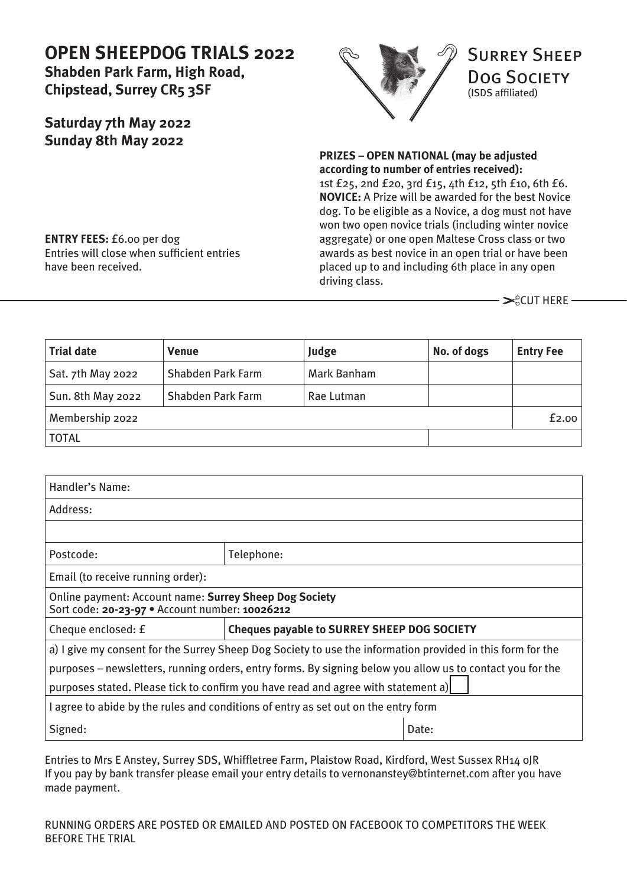# **OPEN SHEEPDOG TRIALS 2022**

**Shabden Park Farm, High Road, Chipstead, Surrey CR5 3SF**

## **Saturday 7th May 2022 Sunday 8th May 2022**



**PRIZES – OPEN NATIONAL (may be adjusted according to number of entries received):** 1st £25, 2nd £20, 3rd £15, 4th £12, 5th £10, 6th £6. **NOVICE:** A Prize will be awarded for the best Novice dog. To be eligible as a Novice, a dog must not have won two open novice trials (including winter novice aggregate) or one open Maltese Cross class or two awards as best novice in an open trial or have been placed up to and including 6th place in any open driving class.

 $≥$ **CUT HERE −** 

**Trial date Venue Judge No. of dogs Entry Fee** Sat. 7th May 2022 | Shabden Park Farm | Mark Banham Sun. 8th May 2022 | Shabden Park Farm | Rae Lutman Membership 2022 **Example 19** Eq. 00 TOTAL

| Handler's Name:                                                                                            |                                                    |       |
|------------------------------------------------------------------------------------------------------------|----------------------------------------------------|-------|
| Address:                                                                                                   |                                                    |       |
|                                                                                                            |                                                    |       |
| Postcode:                                                                                                  | Telephone:                                         |       |
| Email (to receive running order):                                                                          |                                                    |       |
| Online payment: Account name: Surrey Sheep Dog Society<br>Sort code: 20-23-97 · Account number: 10026212   |                                                    |       |
| Cheque enclosed: £                                                                                         | <b>Cheques payable to SURREY SHEEP DOG SOCIETY</b> |       |
| a) I give my consent for the Surrey Sheep Dog Society to use the information provided in this form for the |                                                    |       |
| purposes – newsletters, running orders, entry forms. By signing below you allow us to contact you for the  |                                                    |       |
| purposes stated. Please tick to confirm you have read and agree with statement a)                          |                                                    |       |
| I agree to abide by the rules and conditions of entry as set out on the entry form                         |                                                    |       |
| Signed:                                                                                                    |                                                    | Date: |

Entries to Mrs E Anstey, Surrey SDS, Whiffletree Farm, Plaistow Road, Kirdford, West Sussex RH14 0JR If you pay by bank transfer please email your entry details to [vernonanstey@btinternet.com af](mailto:vernonanstey@btinternet.com)ter you have made payment.

**ENTRY FEES:** £6.00 per dog Entries will close when sufficient entries have been received.